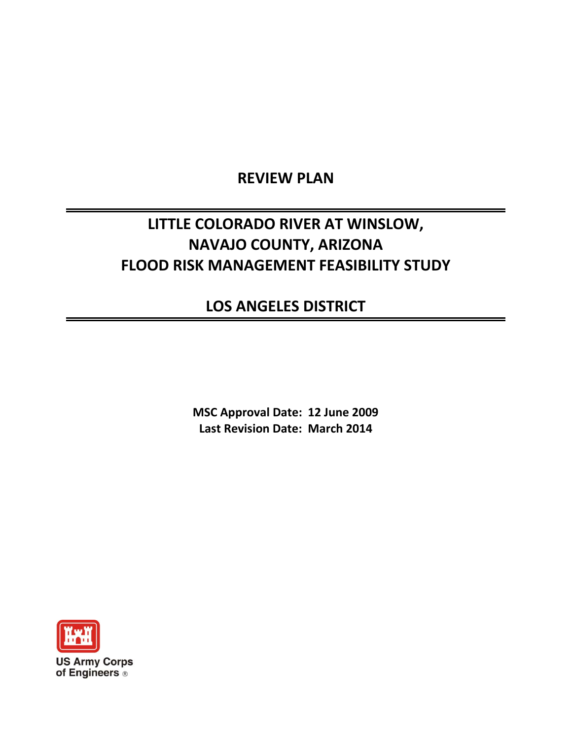## **REVIEW PLAN**

# **LITTLE COLORADO RIVER AT WINSLOW, NAVAJO COUNTY, ARIZONA FLOOD RISK MANAGEMENT FEASIBILITY STUDY**

## **LOS ANGELES DISTRICT**

**MSC Approval Date: 12 June 2009 Last Revision Date: March 2014**

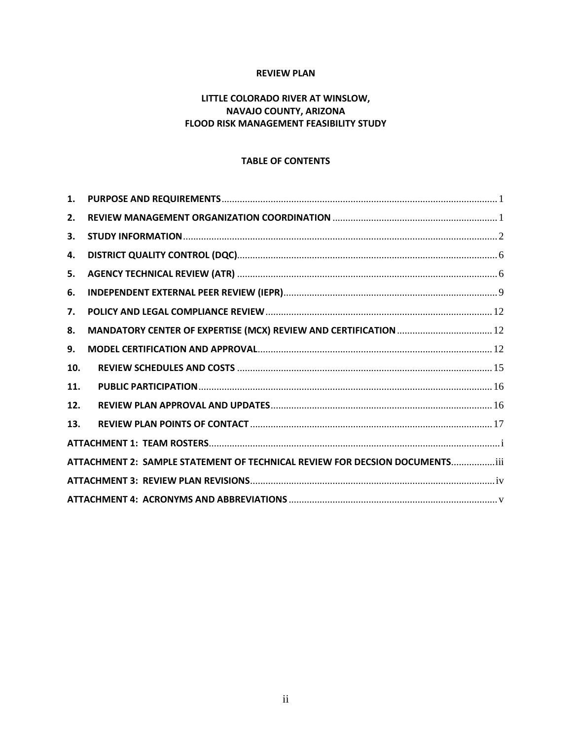#### **REVIEW PLAN**

## **LITTLE COLORADO RIVER AT WINSLOW, NAVAJO COUNTY, ARIZONA FLOOD RISK MANAGEMENT FEASIBILITY STUDY**

#### **TABLE OF CONTENTS**

| 1.  |                                                                             |
|-----|-----------------------------------------------------------------------------|
| 2.  |                                                                             |
| 3.  |                                                                             |
| 4.  |                                                                             |
| 5.  |                                                                             |
| 6.  |                                                                             |
| 7.  |                                                                             |
| 8.  |                                                                             |
| 9.  |                                                                             |
| 10. |                                                                             |
| 11. |                                                                             |
| 12. |                                                                             |
| 13. |                                                                             |
|     |                                                                             |
|     | ATTACHMENT 2: SAMPLE STATEMENT OF TECHNICAL REVIEW FOR DECSION DOCUMENTSiii |
|     |                                                                             |
|     |                                                                             |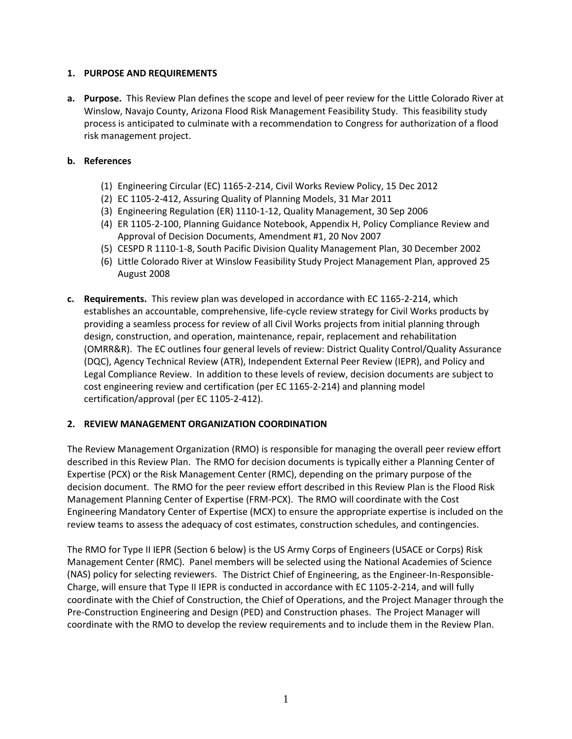#### <span id="page-2-0"></span>**1. PURPOSE AND REQUIREMENTS**

**a. Purpose.** This Review Plan defines the scope and level of peer review for the Little Colorado River at Winslow, Navajo County, Arizona Flood Risk Management Feasibility Study. This feasibility study process is anticipated to culminate with a recommendation to Congress for authorization of a flood risk management project.

#### **b. References**

- (1) Engineering Circular (EC) 1165-2-214, Civil Works Review Policy, 15 Dec 2012
- (2) EC 1105-2-412, Assuring Quality of Planning Models, 31 Mar 2011
- (3) Engineering Regulation (ER) 1110-1-12, Quality Management, 30 Sep 2006
- (4) ER 1105-2-100, Planning Guidance Notebook, Appendix H, Policy Compliance Review and Approval of Decision Documents, Amendment #1, 20 Nov 2007
- (5) CESPD R 1110-1-8, South Pacific Division Quality Management Plan, 30 December 2002
- (6) Little Colorado River at Winslow Feasibility Study Project Management Plan, approved 25 August 2008
- **c. Requirements.** This review plan was developed in accordance with EC 1165-2-214, which establishes an accountable, comprehensive, life-cycle review strategy for Civil Works products by providing a seamless process for review of all Civil Works projects from initial planning through design, construction, and operation, maintenance, repair, replacement and rehabilitation (OMRR&R). The EC outlines four general levels of review: District Quality Control/Quality Assurance (DQC), Agency Technical Review (ATR), Independent External Peer Review (IEPR), and Policy and Legal Compliance Review. In addition to these levels of review, decision documents are subject to cost engineering review and certification (per EC 1165-2-214) and planning model certification/approval (per EC 1105-2-412).

## <span id="page-2-1"></span>**2. REVIEW MANAGEMENT ORGANIZATION COORDINATION**

The Review Management Organization (RMO) is responsible for managing the overall peer review effort described in this Review Plan. The RMO for decision documents is typically either a Planning Center of Expertise (PCX) or the Risk Management Center (RMC), depending on the primary purpose of the decision document. The RMO for the peer review effort described in this Review Plan is the Flood Risk Management Planning Center of Expertise (FRM-PCX). The RMO will coordinate with the Cost Engineering Mandatory Center of Expertise (MCX) to ensure the appropriate expertise is included on the review teams to assess the adequacy of cost estimates, construction schedules, and contingencies.

The RMO for Type II IEPR (Section 6 below) is the US Army Corps of Engineers (USACE or Corps) Risk Management Center (RMC). Panel members will be selected using the National Academies of Science (NAS) policy for selecting reviewers. The District Chief of Engineering, as the Engineer-In-Responsible-Charge, will ensure that Type II IEPR is conducted in accordance with EC 1105-2-214, and will fully coordinate with the Chief of Construction, the Chief of Operations, and the Project Manager through the Pre-Construction Engineering and Design (PED) and Construction phases. The Project Manager will coordinate with the RMO to develop the review requirements and to include them in the Review Plan.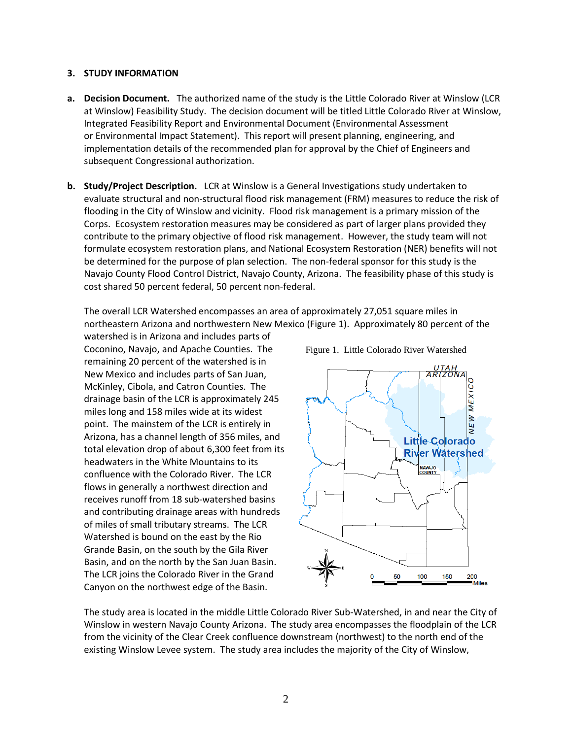#### <span id="page-3-0"></span>**3. STUDY INFORMATION**

- **a. Decision Document.** The authorized name of the study is the Little Colorado River at Winslow (LCR at Winslow) Feasibility Study. The decision document will be titled Little Colorado River at Winslow, Integrated Feasibility Report and Environmental Document (Environmental Assessment or Environmental Impact Statement). This report will present planning, engineering, and implementation details of the recommended plan for approval by the Chief of Engineers and subsequent Congressional authorization.
- **b. Study/Project Description.** LCR at Winslow is a General Investigations study undertaken to evaluate structural and non-structural flood risk management (FRM) measures to reduce the risk of flooding in the City of Winslow and vicinity. Flood risk management is a primary mission of the Corps. Ecosystem restoration measures may be considered as part of larger plans provided they contribute to the primary objective of flood risk management. However, the study team will not formulate ecosystem restoration plans, and National Ecosystem Restoration (NER) benefits will not be determined for the purpose of plan selection. The non-federal sponsor for this study is the Navajo County Flood Control District, Navajo County, Arizona. The feasibility phase of this study is cost shared 50 percent federal, 50 percent non-federal.

The overall LCR Watershed encompasses an area of approximately 27,051 square miles in northeastern Arizona and northwestern New Mexico (Figure 1). Approximately 80 percent of the

watershed is in Arizona and includes parts of Coconino, Navajo, and Apache Counties. The remaining 20 percent of the watershed is in New Mexico and includes parts of San Juan, McKinley, Cibola, and Catron Counties. The drainage basin of the LCR is approximately 245 miles long and 158 miles wide at its widest point. The mainstem of the LCR is entirely in Arizona, has a channel length of 356 miles, and total elevation drop of about 6,300 feet from its headwaters in the White Mountains to its confluence with the Colorado River. The LCR flows in generally a northwest direction and receives runoff from 18 sub-watershed basins and contributing drainage areas with hundreds of miles of small tributary streams. The LCR Watershed is bound on the east by the Rio Grande Basin, on the south by the Gila River Basin, and on the north by the San Juan Basin. The LCR joins the Colorado River in the Grand Canyon on the northwest edge of the Basin.



The study area is located in the middle Little Colorado River Sub-Watershed, in and near the City of Winslow in western Navajo County Arizona. The study area encompasses the floodplain of the LCR from the vicinity of the Clear Creek confluence downstream (northwest) to the north end of the existing Winslow Levee system. The study area includes the majority of the City of Winslow,

Figure 1. Little Colorado River Watershed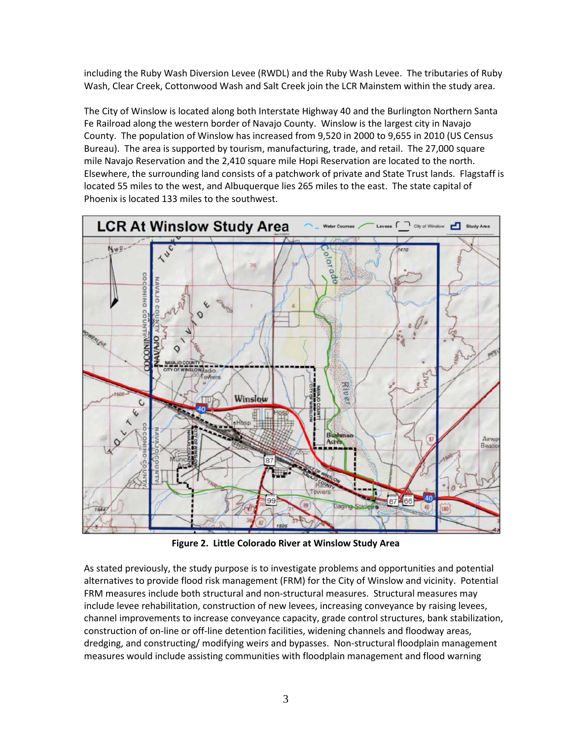including the Ruby Wash Diversion Levee (RWDL) and the Ruby Wash Levee. The tributaries of Ruby Wash, Clear Creek, Cottonwood Wash and Salt Creek join the LCR Mainstem within the study area.

The City of Winslow is located along both Interstate Highway 40 and the Burlington Northern Santa Fe Railroad along the western border of Navajo County. Winslow is the largest city in Navajo County. The population of Winslow has increased from 9,520 in 2000 to 9,655 in 2010 (US Census Bureau). The area is supported by tourism, manufacturing, trade, and retail. The 27,000 square mile Navajo Reservation and the 2,410 square mile Hopi Reservation are located to the north. Elsewhere, the surrounding land consists of a patchwork of private and State Trust lands. Flagstaff is located 55 miles to the west, and Albuquerque lies 265 miles to the east. The state capital of Phoenix is located 133 miles to the southwest.



**Figure 2. Little Colorado River at Winslow Study Area**

As stated previously, the study purpose is to investigate problems and opportunities and potential alternatives to provide flood risk management (FRM) for the City of Winslow and vicinity. Potential FRM measures include both structural and non-structural measures. Structural measures may include levee rehabilitation, construction of new levees, increasing conveyance by raising levees, channel improvements to increase conveyance capacity, grade control structures, bank stabilization, construction of on-line or off-line detention facilities, widening channels and floodway areas, dredging, and constructing/ modifying weirs and bypasses. Non-structural floodplain management measures would include assisting communities with floodplain management and flood warning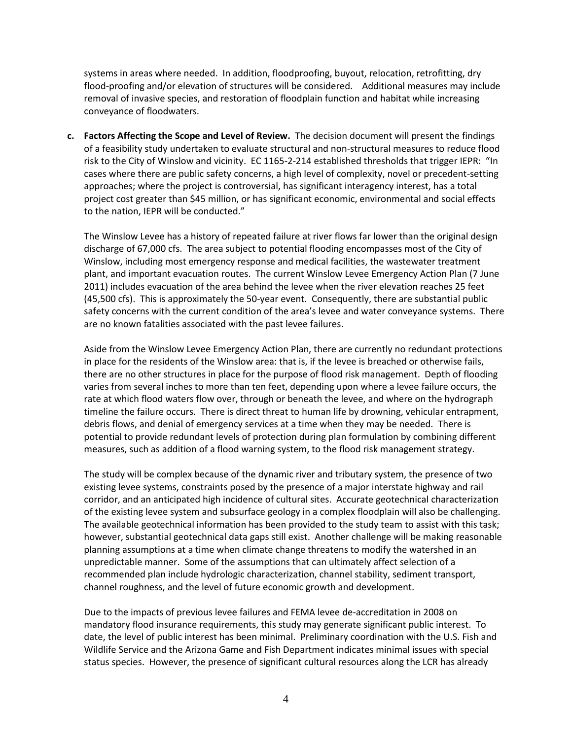systems in areas where needed. In addition, floodproofing, buyout, relocation, retrofitting, dry flood-proofing and/or elevation of structures will be considered. Additional measures may include removal of invasive species, and restoration of floodplain function and habitat while increasing conveyance of floodwaters.

**c. Factors Affecting the Scope and Level of Review.** The decision document will present the findings of a feasibility study undertaken to evaluate structural and non-structural measures to reduce flood risk to the City of Winslow and vicinity. EC 1165-2-214 established thresholds that trigger IEPR: "In cases where there are public safety concerns, a high level of complexity, novel or precedent-setting approaches; where the project is controversial, has significant interagency interest, has a total project cost greater than \$45 million, or has significant economic, environmental and social effects to the nation, IEPR will be conducted."

The Winslow Levee has a history of repeated failure at river flows far lower than the original design discharge of 67,000 cfs. The area subject to potential flooding encompasses most of the City of Winslow, including most emergency response and medical facilities, the wastewater treatment plant, and important evacuation routes. The current Winslow Levee Emergency Action Plan (7 June 2011) includes evacuation of the area behind the levee when the river elevation reaches 25 feet (45,500 cfs). This is approximately the 50-year event. Consequently, there are substantial public safety concerns with the current condition of the area's levee and water conveyance systems. There are no known fatalities associated with the past levee failures.

Aside from the Winslow Levee Emergency Action Plan, there are currently no redundant protections in place for the residents of the Winslow area: that is, if the levee is breached or otherwise fails, there are no other structures in place for the purpose of flood risk management. Depth of flooding varies from several inches to more than ten feet, depending upon where a levee failure occurs, the rate at which flood waters flow over, through or beneath the levee, and where on the hydrograph timeline the failure occurs. There is direct threat to human life by drowning, vehicular entrapment, debris flows, and denial of emergency services at a time when they may be needed. There is potential to provide redundant levels of protection during plan formulation by combining different measures, such as addition of a flood warning system, to the flood risk management strategy.

The study will be complex because of the dynamic river and tributary system, the presence of two existing levee systems, constraints posed by the presence of a major interstate highway and rail corridor, and an anticipated high incidence of cultural sites. Accurate geotechnical characterization of the existing levee system and subsurface geology in a complex floodplain will also be challenging. The available geotechnical information has been provided to the study team to assist with this task; however, substantial geotechnical data gaps still exist. Another challenge will be making reasonable planning assumptions at a time when climate change threatens to modify the watershed in an unpredictable manner. Some of the assumptions that can ultimately affect selection of a recommended plan include hydrologic characterization, channel stability, sediment transport, channel roughness, and the level of future economic growth and development.

Due to the impacts of previous levee failures and FEMA levee de-accreditation in 2008 on mandatory flood insurance requirements, this study may generate significant public interest. To date, the level of public interest has been minimal. Preliminary coordination with the U.S. Fish and Wildlife Service and the Arizona Game and Fish Department indicates minimal issues with special status species. However, the presence of significant cultural resources along the LCR has already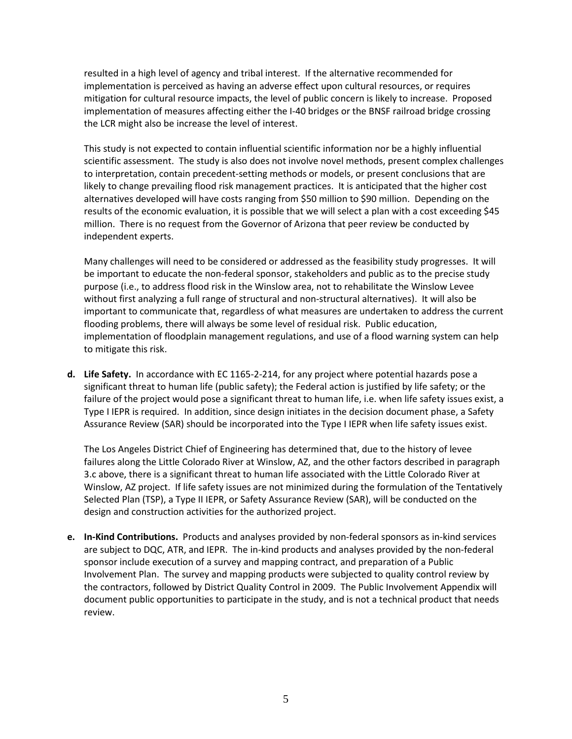resulted in a high level of agency and tribal interest. If the alternative recommended for implementation is perceived as having an adverse effect upon cultural resources, or requires mitigation for cultural resource impacts, the level of public concern is likely to increase. Proposed implementation of measures affecting either the I-40 bridges or the BNSF railroad bridge crossing the LCR might also be increase the level of interest.

This study is not expected to contain influential scientific information nor be a highly influential scientific assessment. The study is also does not involve novel methods, present complex challenges to interpretation, contain precedent-setting methods or models, or present conclusions that are likely to change prevailing flood risk management practices. It is anticipated that the higher cost alternatives developed will have costs ranging from \$50 million to \$90 million. Depending on the results of the economic evaluation, it is possible that we will select a plan with a cost exceeding \$45 million. There is no request from the Governor of Arizona that peer review be conducted by independent experts.

Many challenges will need to be considered or addressed as the feasibility study progresses. It will be important to educate the non-federal sponsor, stakeholders and public as to the precise study purpose (i.e., to address flood risk in the Winslow area, not to rehabilitate the Winslow Levee without first analyzing a full range of structural and non-structural alternatives). It will also be important to communicate that, regardless of what measures are undertaken to address the current flooding problems, there will always be some level of residual risk. Public education, implementation of floodplain management regulations, and use of a flood warning system can help to mitigate this risk.

**d. Life Safety.** In accordance with EC 1165-2-214, for any project where potential hazards pose a significant threat to human life (public safety); the Federal action is justified by life safety; or the failure of the project would pose a significant threat to human life, i.e. when life safety issues exist, a Type I IEPR is required. In addition, since design initiates in the decision document phase, a Safety Assurance Review (SAR) should be incorporated into the Type I IEPR when life safety issues exist.

The Los Angeles District Chief of Engineering has determined that, due to the history of levee failures along the Little Colorado River at Winslow, AZ, and the other factors described in paragraph 3.c above, there is a significant threat to human life associated with the Little Colorado River at Winslow, AZ project. If life safety issues are not minimized during the formulation of the Tentatively Selected Plan (TSP), a Type II IEPR, or Safety Assurance Review (SAR), will be conducted on the design and construction activities for the authorized project.

**e. In-Kind Contributions.** Products and analyses provided by non-federal sponsors as in-kind services are subject to DQC, ATR, and IEPR. The in-kind products and analyses provided by the non-federal sponsor include execution of a survey and mapping contract, and preparation of a Public Involvement Plan. The survey and mapping products were subjected to quality control review by the contractors, followed by District Quality Control in 2009. The Public Involvement Appendix will document public opportunities to participate in the study, and is not a technical product that needs review.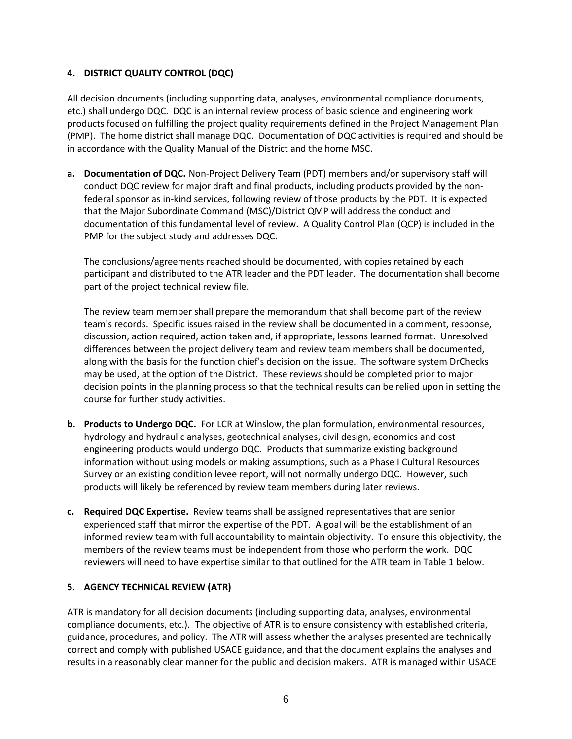## <span id="page-7-0"></span>**4. DISTRICT QUALITY CONTROL (DQC)**

All decision documents (including supporting data, analyses, environmental compliance documents, etc.) shall undergo DQC. DQC is an internal review process of basic science and engineering work products focused on fulfilling the project quality requirements defined in the Project Management Plan (PMP). The home district shall manage DQC. Documentation of DQC activities is required and should be in accordance with the Quality Manual of the District and the home MSC.

**a. Documentation of DQC.** Non-Project Delivery Team (PDT) members and/or supervisory staff will conduct DQC review for major draft and final products, including products provided by the nonfederal sponsor as in-kind services, following review of those products by the PDT. It is expected that the Major Subordinate Command (MSC)/District QMP will address the conduct and documentation of this fundamental level of review. A Quality Control Plan (QCP) is included in the PMP for the subject study and addresses DQC.

The conclusions/agreements reached should be documented, with copies retained by each participant and distributed to the ATR leader and the PDT leader. The documentation shall become part of the project technical review file.

The review team member shall prepare the memorandum that shall become part of the review team's records. Specific issues raised in the review shall be documented in a comment, response, discussion, action required, action taken and, if appropriate, lessons learned format. Unresolved differences between the project delivery team and review team members shall be documented, along with the basis for the function chief's decision on the issue. The software system DrChecks may be used, at the option of the District. These reviews should be completed prior to major decision points in the planning process so that the technical results can be relied upon in setting the course for further study activities.

- **b. Products to Undergo DQC.** For LCR at Winslow, the plan formulation, environmental resources, hydrology and hydraulic analyses, geotechnical analyses, civil design, economics and cost engineering products would undergo DQC. Products that summarize existing background information without using models or making assumptions, such as a Phase I Cultural Resources Survey or an existing condition levee report, will not normally undergo DQC. However, such products will likely be referenced by review team members during later reviews.
- **c. Required DQC Expertise.** Review teams shall be assigned representatives that are senior experienced staff that mirror the expertise of the PDT. A goal will be the establishment of an informed review team with full accountability to maintain objectivity. To ensure this objectivity, the members of the review teams must be independent from those who perform the work. DQC reviewers will need to have expertise similar to that outlined for the ATR team in Table 1 below.

#### <span id="page-7-1"></span>**5. AGENCY TECHNICAL REVIEW (ATR)**

ATR is mandatory for all decision documents (including supporting data, analyses, environmental compliance documents, etc.). The objective of ATR is to ensure consistency with established criteria, guidance, procedures, and policy. The ATR will assess whether the analyses presented are technically correct and comply with published USACE guidance, and that the document explains the analyses and results in a reasonably clear manner for the public and decision makers. ATR is managed within USACE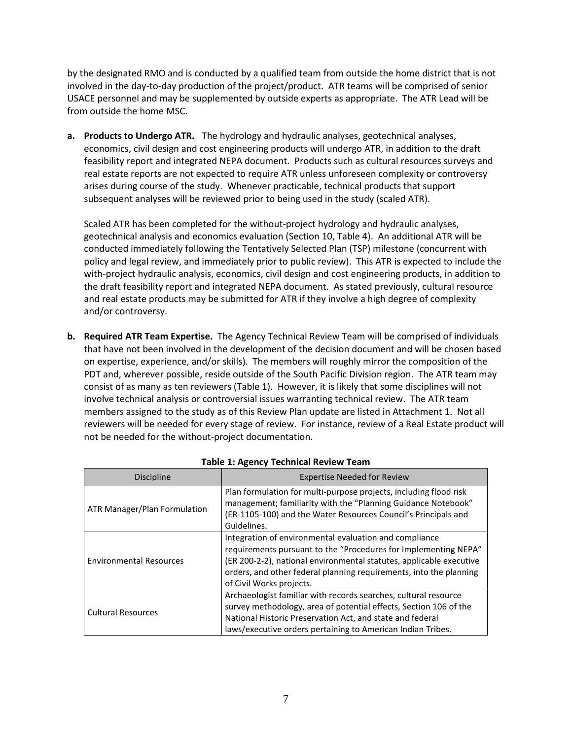by the designated RMO and is conducted by a qualified team from outside the home district that is not involved in the day-to-day production of the project/product. ATR teams will be comprised of senior USACE personnel and may be supplemented by outside experts as appropriate. The ATR Lead will be from outside the home MSC.

**a. Products to Undergo ATR.** The hydrology and hydraulic analyses, geotechnical analyses, economics, civil design and cost engineering products will undergo ATR, in addition to the draft feasibility report and integrated NEPA document. Products such as cultural resources surveys and real estate reports are not expected to require ATR unless unforeseen complexity or controversy arises during course of the study. Whenever practicable, technical products that support subsequent analyses will be reviewed prior to being used in the study (scaled ATR).

Scaled ATR has been completed for the without-project hydrology and hydraulic analyses, geotechnical analysis and economics evaluation (Section 10, Table 4). An additional ATR will be conducted immediately following the Tentatively Selected Plan (TSP) milestone (concurrent with policy and legal review, and immediately prior to public review). This ATR is expected to include the with-project hydraulic analysis, economics, civil design and cost engineering products, in addition to the draft feasibility report and integrated NEPA document. As stated previously, cultural resource and real estate products may be submitted for ATR if they involve a high degree of complexity and/or controversy.

**b. Required ATR Team Expertise.** The Agency Technical Review Team will be comprised of individuals that have not been involved in the development of the decision document and will be chosen based on expertise, experience, and/or skills). The members will roughly mirror the composition of the PDT and, wherever possible, reside outside of the South Pacific Division region. The ATR team may consist of as many as ten reviewers (Table 1). However, it is likely that some disciplines will not involve technical analysis or controversial issues warranting technical review. The ATR team members assigned to the study as of this Review Plan update are listed in Attachment 1. Not all reviewers will be needed for every stage of review. For instance, review of a Real Estate product will not be needed for the without-project documentation.

| <b>Discipline</b>              | <b>Expertise Needed for Review</b>                                                                                                                                                                                                                                                                 |  |  |
|--------------------------------|----------------------------------------------------------------------------------------------------------------------------------------------------------------------------------------------------------------------------------------------------------------------------------------------------|--|--|
| ATR Manager/Plan Formulation   | Plan formulation for multi-purpose projects, including flood risk<br>management; familiarity with the "Planning Guidance Notebook"<br>(ER-1105-100) and the Water Resources Council's Principals and<br>Guidelines.                                                                                |  |  |
| <b>Environmental Resources</b> | Integration of environmental evaluation and compliance<br>requirements pursuant to the "Procedures for Implementing NEPA"<br>(ER 200-2-2), national environmental statutes, applicable executive<br>orders, and other federal planning requirements, into the planning<br>of Civil Works projects. |  |  |
| <b>Cultural Resources</b>      | Archaeologist familiar with records searches, cultural resource<br>survey methodology, area of potential effects, Section 106 of the<br>National Historic Preservation Act, and state and federal<br>laws/executive orders pertaining to American Indian Tribes.                                   |  |  |

| <b>Table 1: Agency Technical Review Team</b> |  |  |
|----------------------------------------------|--|--|
|----------------------------------------------|--|--|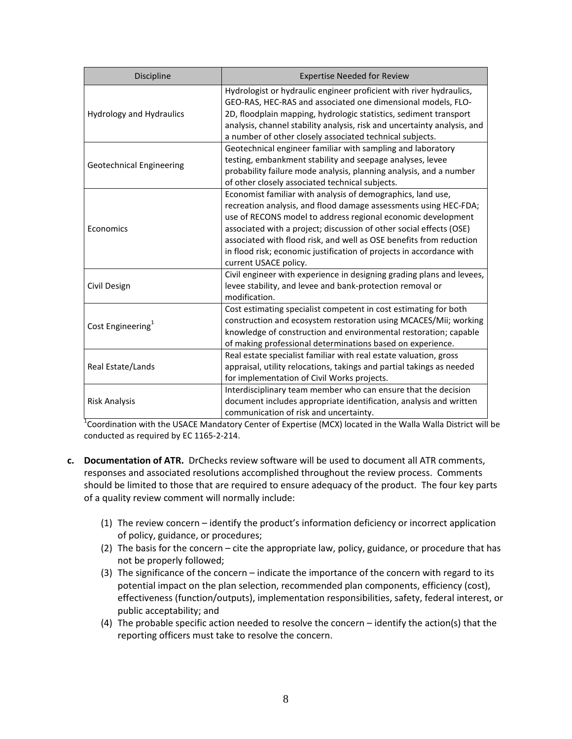| Discipline                      | <b>Expertise Needed for Review</b>                                                                                                                                                                                                                                                                                                                                                                                                             |
|---------------------------------|------------------------------------------------------------------------------------------------------------------------------------------------------------------------------------------------------------------------------------------------------------------------------------------------------------------------------------------------------------------------------------------------------------------------------------------------|
| Hydrology and Hydraulics        | Hydrologist or hydraulic engineer proficient with river hydraulics,<br>GEO-RAS, HEC-RAS and associated one dimensional models, FLO-<br>2D, floodplain mapping, hydrologic statistics, sediment transport<br>analysis, channel stability analysis, risk and uncertainty analysis, and<br>a number of other closely associated technical subjects.                                                                                               |
| <b>Geotechnical Engineering</b> | Geotechnical engineer familiar with sampling and laboratory<br>testing, embankment stability and seepage analyses, levee<br>probability failure mode analysis, planning analysis, and a number<br>of other closely associated technical subjects.                                                                                                                                                                                              |
| Economics                       | Economist familiar with analysis of demographics, land use,<br>recreation analysis, and flood damage assessments using HEC-FDA;<br>use of RECONS model to address regional economic development<br>associated with a project; discussion of other social effects (OSE)<br>associated with flood risk, and well as OSE benefits from reduction<br>in flood risk; economic justification of projects in accordance with<br>current USACE policy. |
| Civil Design                    | Civil engineer with experience in designing grading plans and levees,<br>levee stability, and levee and bank-protection removal or<br>modification.                                                                                                                                                                                                                                                                                            |
| Cost Engineering <sup>1</sup>   | Cost estimating specialist competent in cost estimating for both<br>construction and ecosystem restoration using MCACES/Mii; working<br>knowledge of construction and environmental restoration; capable<br>of making professional determinations based on experience.                                                                                                                                                                         |
| Real Estate/Lands               | Real estate specialist familiar with real estate valuation, gross<br>appraisal, utility relocations, takings and partial takings as needed<br>for implementation of Civil Works projects.                                                                                                                                                                                                                                                      |
| <b>Risk Analysis</b>            | Interdisciplinary team member who can ensure that the decision<br>document includes appropriate identification, analysis and written<br>communication of risk and uncertainty.                                                                                                                                                                                                                                                                 |

 $^{1}$ Coordination with the USACE Mandatory Center of Expertise (MCX) located in the Walla Walla District will be conducted as required by EC 1165-2-214.

- **c. Documentation of ATR.** DrChecks review software will be used to document all ATR comments, responses and associated resolutions accomplished throughout the review process. Comments should be limited to those that are required to ensure adequacy of the product. The four key parts of a quality review comment will normally include:
	- (1) The review concern identify the product's information deficiency or incorrect application of policy, guidance, or procedures;
	- (2) The basis for the concern cite the appropriate law, policy, guidance, or procedure that has not be properly followed;
	- (3) The significance of the concern indicate the importance of the concern with regard to its potential impact on the plan selection, recommended plan components, efficiency (cost), effectiveness (function/outputs), implementation responsibilities, safety, federal interest, or public acceptability; and
	- (4) The probable specific action needed to resolve the concern identify the action(s) that the reporting officers must take to resolve the concern.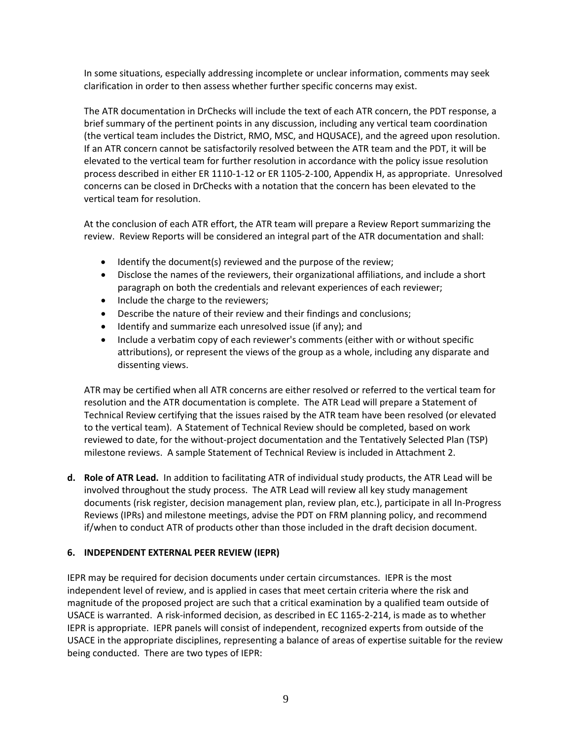In some situations, especially addressing incomplete or unclear information, comments may seek clarification in order to then assess whether further specific concerns may exist.

The ATR documentation in DrChecks will include the text of each ATR concern, the PDT response, a brief summary of the pertinent points in any discussion, including any vertical team coordination (the vertical team includes the District, RMO, MSC, and HQUSACE), and the agreed upon resolution. If an ATR concern cannot be satisfactorily resolved between the ATR team and the PDT, it will be elevated to the vertical team for further resolution in accordance with the policy issue resolution process described in either ER 1110-1-12 or ER 1105-2-100, Appendix H, as appropriate. Unresolved concerns can be closed in DrChecks with a notation that the concern has been elevated to the vertical team for resolution.

At the conclusion of each ATR effort, the ATR team will prepare a Review Report summarizing the review. Review Reports will be considered an integral part of the ATR documentation and shall:

- Identify the document(s) reviewed and the purpose of the review;
- Disclose the names of the reviewers, their organizational affiliations, and include a short paragraph on both the credentials and relevant experiences of each reviewer;
- Include the charge to the reviewers;
- Describe the nature of their review and their findings and conclusions;
- Identify and summarize each unresolved issue (if any); and
- Include a verbatim copy of each reviewer's comments (either with or without specific attributions), or represent the views of the group as a whole, including any disparate and dissenting views.

ATR may be certified when all ATR concerns are either resolved or referred to the vertical team for resolution and the ATR documentation is complete. The ATR Lead will prepare a Statement of Technical Review certifying that the issues raised by the ATR team have been resolved (or elevated to the vertical team). A Statement of Technical Review should be completed, based on work reviewed to date, for the without-project documentation and the Tentatively Selected Plan (TSP) milestone reviews. A sample Statement of Technical Review is included in Attachment 2.

**d. Role of ATR Lead.** In addition to facilitating ATR of individual study products, the ATR Lead will be involved throughout the study process. The ATR Lead will review all key study management documents (risk register, decision management plan, review plan, etc.), participate in all In-Progress Reviews (IPRs) and milestone meetings, advise the PDT on FRM planning policy, and recommend if/when to conduct ATR of products other than those included in the draft decision document.

#### <span id="page-10-0"></span>**6. INDEPENDENT EXTERNAL PEER REVIEW (IEPR)**

IEPR may be required for decision documents under certain circumstances. IEPR is the most independent level of review, and is applied in cases that meet certain criteria where the risk and magnitude of the proposed project are such that a critical examination by a qualified team outside of USACE is warranted. A risk-informed decision, as described in EC 1165-2-214, is made as to whether IEPR is appropriate. IEPR panels will consist of independent, recognized experts from outside of the USACE in the appropriate disciplines, representing a balance of areas of expertise suitable for the review being conducted. There are two types of IEPR: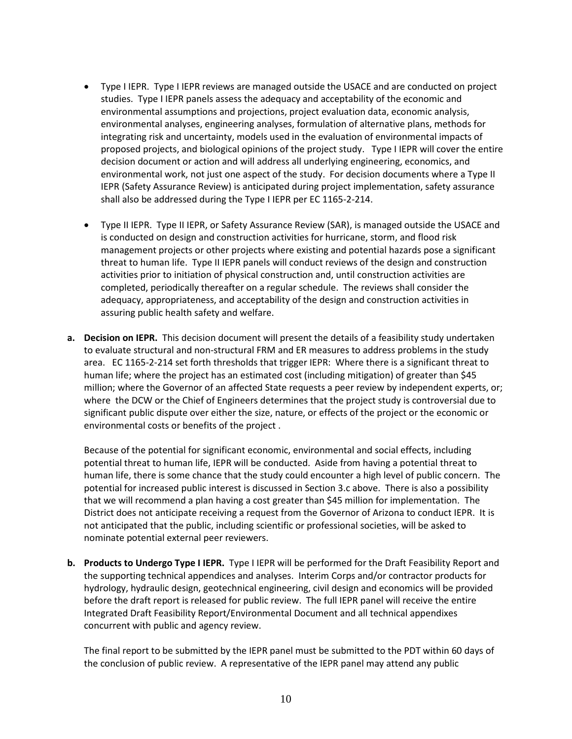- Type I IEPR. Type I IEPR reviews are managed outside the USACE and are conducted on project studies. Type I IEPR panels assess the adequacy and acceptability of the economic and environmental assumptions and projections, project evaluation data, economic analysis, environmental analyses, engineering analyses, formulation of alternative plans, methods for integrating risk and uncertainty, models used in the evaluation of environmental impacts of proposed projects, and biological opinions of the project study. Type I IEPR will cover the entire decision document or action and will address all underlying engineering, economics, and environmental work, not just one aspect of the study. For decision documents where a Type II IEPR (Safety Assurance Review) is anticipated during project implementation, safety assurance shall also be addressed during the Type I IEPR per EC 1165-2-214.
- Type II IEPR. Type II IEPR, or Safety Assurance Review (SAR), is managed outside the USACE and is conducted on design and construction activities for hurricane, storm, and flood risk management projects or other projects where existing and potential hazards pose a significant threat to human life. Type II IEPR panels will conduct reviews of the design and construction activities prior to initiation of physical construction and, until construction activities are completed, periodically thereafter on a regular schedule. The reviews shall consider the adequacy, appropriateness, and acceptability of the design and construction activities in assuring public health safety and welfare.
- **a. Decision on IEPR.** This decision document will present the details of a feasibility study undertaken to evaluate structural and non-structural FRM and ER measures to address problems in the study area. EC 1165-2-214 set forth thresholds that trigger IEPR: Where there is a significant threat to human life; where the project has an estimated cost (including mitigation) of greater than \$45 million; where the Governor of an affected State requests a peer review by independent experts, or; where the DCW or the Chief of Engineers determines that the project study is controversial due to significant public dispute over either the size, nature, or effects of the project or the economic or environmental costs or benefits of the project .

Because of the potential for significant economic, environmental and social effects, including potential threat to human life, IEPR will be conducted. Aside from having a potential threat to human life, there is some chance that the study could encounter a high level of public concern. The potential for increased public interest is discussed in Section 3.c above. There is also a possibility that we will recommend a plan having a cost greater than \$45 million for implementation. The District does not anticipate receiving a request from the Governor of Arizona to conduct IEPR. It is not anticipated that the public, including scientific or professional societies, will be asked to nominate potential external peer reviewers.

**b. Products to Undergo Type I IEPR.** Type I IEPR will be performed for the Draft Feasibility Report and the supporting technical appendices and analyses.Interim Corps and/or contractor products for hydrology, hydraulic design, geotechnical engineering, civil design and economics will be provided before the draft report is released for public review. The full IEPR panel will receive the entire Integrated Draft Feasibility Report/Environmental Document and all technical appendixes concurrent with public and agency review.

The final report to be submitted by the IEPR panel must be submitted to the PDT within 60 days of the conclusion of public review. A representative of the IEPR panel may attend any public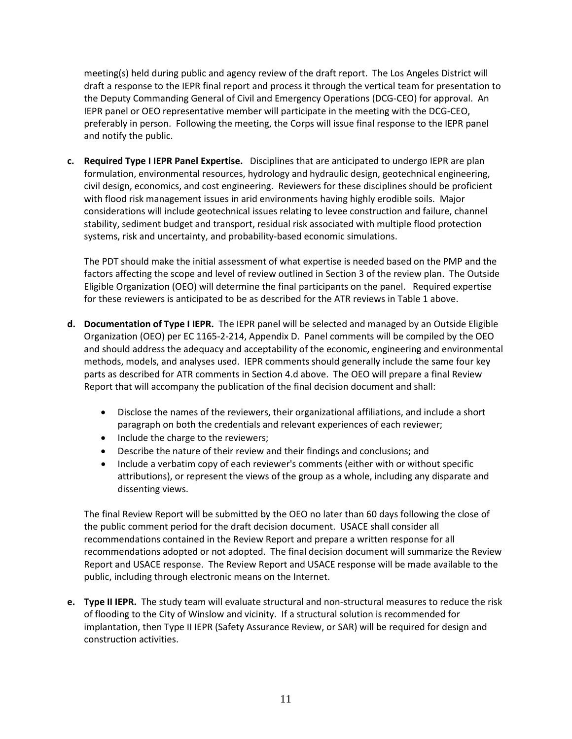meeting(s) held during public and agency review of the draft report. The Los Angeles District will draft a response to the IEPR final report and process it through the vertical team for presentation to the Deputy Commanding General of Civil and Emergency Operations (DCG-CEO) for approval. An IEPR panel or OEO representative member will participate in the meeting with the DCG-CEO, preferably in person. Following the meeting, the Corps will issue final response to the IEPR panel and notify the public.

**c. Required Type I IEPR Panel Expertise.** Disciplines that are anticipated to undergo IEPR are plan formulation, environmental resources, hydrology and hydraulic design, geotechnical engineering, civil design, economics, and cost engineering. Reviewers for these disciplines should be proficient with flood risk management issues in arid environments having highly erodible soils. Major considerations will include geotechnical issues relating to levee construction and failure, channel stability, sediment budget and transport, residual risk associated with multiple flood protection systems, risk and uncertainty, and probability-based economic simulations.

The PDT should make the initial assessment of what expertise is needed based on the PMP and the factors affecting the scope and level of review outlined in Section 3 of the review plan. The Outside Eligible Organization (OEO) will determine the final participants on the panel. Required expertise for these reviewers is anticipated to be as described for the ATR reviews in Table 1 above.

- **d. Documentation of Type I IEPR.** The IEPR panel will be selected and managed by an Outside Eligible Organization (OEO) per EC 1165-2-214, Appendix D. Panel comments will be compiled by the OEO and should address the adequacy and acceptability of the economic, engineering and environmental methods, models, and analyses used. IEPR comments should generally include the same four key parts as described for ATR comments in Section 4.d above. The OEO will prepare a final Review Report that will accompany the publication of the final decision document and shall:
	- Disclose the names of the reviewers, their organizational affiliations, and include a short paragraph on both the credentials and relevant experiences of each reviewer;
	- Include the charge to the reviewers;
	- Describe the nature of their review and their findings and conclusions; and
	- Include a verbatim copy of each reviewer's comments (either with or without specific attributions), or represent the views of the group as a whole, including any disparate and dissenting views.

The final Review Report will be submitted by the OEO no later than 60 days following the close of the public comment period for the draft decision document. USACE shall consider all recommendations contained in the Review Report and prepare a written response for all recommendations adopted or not adopted. The final decision document will summarize the Review Report and USACE response. The Review Report and USACE response will be made available to the public, including through electronic means on the Internet.

**e. Type II IEPR.** The study team will evaluate structural and non-structural measures to reduce the risk of flooding to the City of Winslow and vicinity. If a structural solution is recommended for implantation, then Type II IEPR (Safety Assurance Review, or SAR) will be required for design and construction activities.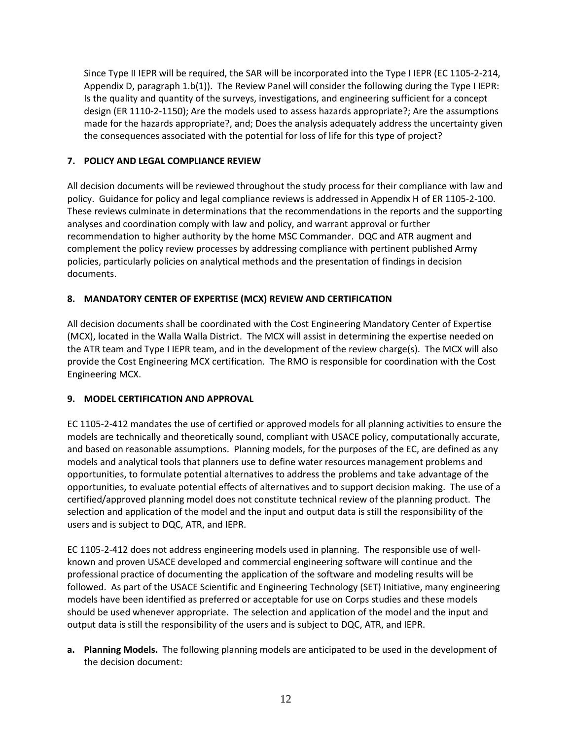Since Type II IEPR will be required, the SAR will be incorporated into the Type I IEPR (EC 1105-2-214, Appendix D, paragraph 1.b(1)). The Review Panel will consider the following during the Type I IEPR: Is the quality and quantity of the surveys, investigations, and engineering sufficient for a concept design (ER 1110-2-1150); Are the models used to assess hazards appropriate?; Are the assumptions made for the hazards appropriate?, and; Does the analysis adequately address the uncertainty given the consequences associated with the potential for loss of life for this type of project?

## <span id="page-13-0"></span>**7. POLICY AND LEGAL COMPLIANCE REVIEW**

All decision documents will be reviewed throughout the study process for their compliance with law and policy. Guidance for policy and legal compliance reviews is addressed in Appendix H of ER 1105-2-100. These reviews culminate in determinations that the recommendations in the reports and the supporting analyses and coordination comply with law and policy, and warrant approval or further recommendation to higher authority by the home MSC Commander. DQC and ATR augment and complement the policy review processes by addressing compliance with pertinent published Army policies, particularly policies on analytical methods and the presentation of findings in decision documents.

## <span id="page-13-1"></span>**8. MANDATORY CENTER OF EXPERTISE (MCX) REVIEW AND CERTIFICATION**

All decision documents shall be coordinated with the Cost Engineering Mandatory Center of Expertise (MCX), located in the Walla Walla District. The MCX will assist in determining the expertise needed on the ATR team and Type I IEPR team, and in the development of the review charge(s). The MCX will also provide the Cost Engineering MCX certification. The RMO is responsible for coordination with the Cost Engineering MCX.

## <span id="page-13-2"></span>**9. MODEL CERTIFICATION AND APPROVAL**

EC 1105-2-412 mandates the use of certified or approved models for all planning activities to ensure the models are technically and theoretically sound, compliant with USACE policy, computationally accurate, and based on reasonable assumptions. Planning models, for the purposes of the EC, are defined as any models and analytical tools that planners use to define water resources management problems and opportunities, to formulate potential alternatives to address the problems and take advantage of the opportunities, to evaluate potential effects of alternatives and to support decision making. The use of a certified/approved planning model does not constitute technical review of the planning product. The selection and application of the model and the input and output data is still the responsibility of the users and is subject to DQC, ATR, and IEPR.

EC 1105-2-412 does not address engineering models used in planning. The responsible use of wellknown and proven USACE developed and commercial engineering software will continue and the professional practice of documenting the application of the software and modeling results will be followed. As part of the USACE Scientific and Engineering Technology (SET) Initiative, many engineering models have been identified as preferred or acceptable for use on Corps studies and these models should be used whenever appropriate. The selection and application of the model and the input and output data is still the responsibility of the users and is subject to DQC, ATR, and IEPR.

**a. Planning Models.** The following planning models are anticipated to be used in the development of the decision document: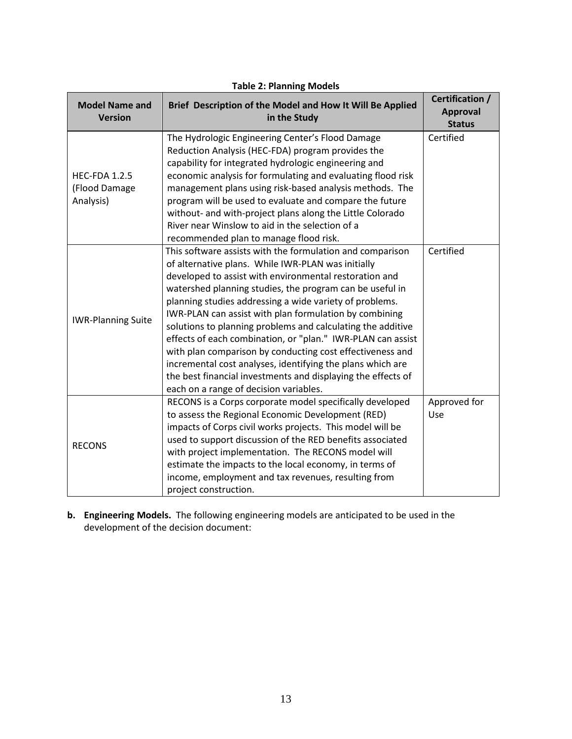| <b>Model Name and</b><br><b>Version</b>                                                                                                                                                                                                                                                                                                                                                                                                                                                                                                                                                                                                                                                                                                                                                              | Brief Description of the Model and How It Will Be Applied<br>in the Study                                                                                                                                                                                                                                                                                                                                                                                          | Certification /<br><b>Approval</b><br><b>Status</b> |
|------------------------------------------------------------------------------------------------------------------------------------------------------------------------------------------------------------------------------------------------------------------------------------------------------------------------------------------------------------------------------------------------------------------------------------------------------------------------------------------------------------------------------------------------------------------------------------------------------------------------------------------------------------------------------------------------------------------------------------------------------------------------------------------------------|--------------------------------------------------------------------------------------------------------------------------------------------------------------------------------------------------------------------------------------------------------------------------------------------------------------------------------------------------------------------------------------------------------------------------------------------------------------------|-----------------------------------------------------|
| <b>HEC-FDA 1.2.5</b><br>(Flood Damage<br>Analysis)                                                                                                                                                                                                                                                                                                                                                                                                                                                                                                                                                                                                                                                                                                                                                   | The Hydrologic Engineering Center's Flood Damage<br>Reduction Analysis (HEC-FDA) program provides the<br>capability for integrated hydrologic engineering and<br>economic analysis for formulating and evaluating flood risk<br>management plans using risk-based analysis methods. The<br>program will be used to evaluate and compare the future<br>without- and with-project plans along the Little Colorado<br>River near Winslow to aid in the selection of a | Certified                                           |
| recommended plan to manage flood risk.<br>This software assists with the formulation and comparison<br>of alternative plans. While IWR-PLAN was initially<br>developed to assist with environmental restoration and<br>watershed planning studies, the program can be useful in<br>planning studies addressing a wide variety of problems.<br>IWR-PLAN can assist with plan formulation by combining<br><b>IWR-Planning Suite</b><br>solutions to planning problems and calculating the additive<br>effects of each combination, or "plan." IWR-PLAN can assist<br>with plan comparison by conducting cost effectiveness and<br>incremental cost analyses, identifying the plans which are<br>the best financial investments and displaying the effects of<br>each on a range of decision variables. |                                                                                                                                                                                                                                                                                                                                                                                                                                                                    | Certified                                           |
| RECONS is a Corps corporate model specifically developed<br>to assess the Regional Economic Development (RED)<br>impacts of Corps civil works projects. This model will be<br>used to support discussion of the RED benefits associated<br><b>RECONS</b><br>with project implementation. The RECONS model will<br>estimate the impacts to the local economy, in terms of<br>income, employment and tax revenues, resulting from<br>project construction.                                                                                                                                                                                                                                                                                                                                             |                                                                                                                                                                                                                                                                                                                                                                                                                                                                    | Approved for<br>Use                                 |

#### **Table 2: Planning Models**

**b. Engineering Models.** The following engineering models are anticipated to be used in the development of the decision document: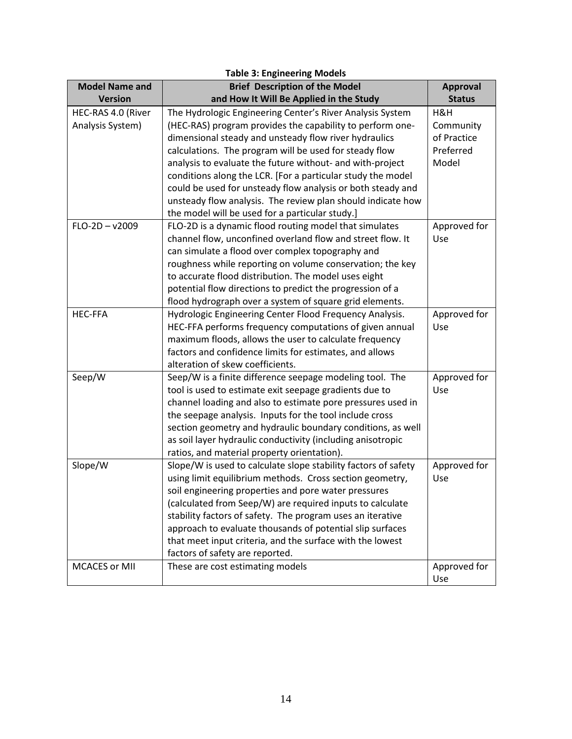| <b>Table 3: Engineering Models</b> |                                                                |                 |  |  |
|------------------------------------|----------------------------------------------------------------|-----------------|--|--|
| <b>Model Name and</b>              | <b>Brief Description of the Model</b>                          | <b>Approval</b> |  |  |
| <b>Version</b>                     | <b>Status</b>                                                  |                 |  |  |
| HEC-RAS 4.0 (River                 | The Hydrologic Engineering Center's River Analysis System      |                 |  |  |
| Analysis System)                   | (HEC-RAS) program provides the capability to perform one-      |                 |  |  |
|                                    | dimensional steady and unsteady flow river hydraulics          | of Practice     |  |  |
|                                    | calculations. The program will be used for steady flow         | Preferred       |  |  |
|                                    | analysis to evaluate the future without- and with-project      | Model           |  |  |
|                                    | conditions along the LCR. [For a particular study the model    |                 |  |  |
|                                    | could be used for unsteady flow analysis or both steady and    |                 |  |  |
|                                    | unsteady flow analysis. The review plan should indicate how    |                 |  |  |
|                                    | the model will be used for a particular study.]                |                 |  |  |
| $FLO-2D - v2009$                   | FLO-2D is a dynamic flood routing model that simulates         | Approved for    |  |  |
|                                    | channel flow, unconfined overland flow and street flow. It     | Use             |  |  |
|                                    | can simulate a flood over complex topography and               |                 |  |  |
|                                    | roughness while reporting on volume conservation; the key      |                 |  |  |
|                                    | to accurate flood distribution. The model uses eight           |                 |  |  |
|                                    | potential flow directions to predict the progression of a      |                 |  |  |
|                                    | flood hydrograph over a system of square grid elements.        |                 |  |  |
| <b>HEC-FFA</b>                     | Hydrologic Engineering Center Flood Frequency Analysis.        | Approved for    |  |  |
|                                    | HEC-FFA performs frequency computations of given annual        | Use             |  |  |
|                                    | maximum floods, allows the user to calculate frequency         |                 |  |  |
|                                    | factors and confidence limits for estimates, and allows        |                 |  |  |
|                                    | alteration of skew coefficients.                               |                 |  |  |
| Seep/W                             | Seep/W is a finite difference seepage modeling tool. The       | Approved for    |  |  |
|                                    | tool is used to estimate exit seepage gradients due to         | Use             |  |  |
|                                    | channel loading and also to estimate pore pressures used in    |                 |  |  |
|                                    | the seepage analysis. Inputs for the tool include cross        |                 |  |  |
|                                    | section geometry and hydraulic boundary conditions, as well    |                 |  |  |
|                                    | as soil layer hydraulic conductivity (including anisotropic    |                 |  |  |
|                                    | ratios, and material property orientation).                    |                 |  |  |
| Slope/W                            | Slope/W is used to calculate slope stability factors of safety | Approved for    |  |  |
|                                    | using limit equilibrium methods. Cross section geometry,       | Use             |  |  |
|                                    | soil engineering properties and pore water pressures           |                 |  |  |
|                                    | (calculated from Seep/W) are required inputs to calculate      |                 |  |  |
|                                    | stability factors of safety. The program uses an iterative     |                 |  |  |
|                                    | approach to evaluate thousands of potential slip surfaces      |                 |  |  |
|                                    | that meet input criteria, and the surface with the lowest      |                 |  |  |
|                                    | factors of safety are reported.                                |                 |  |  |
| <b>MCACES or MII</b>               | These are cost estimating models                               | Approved for    |  |  |
|                                    |                                                                | Use             |  |  |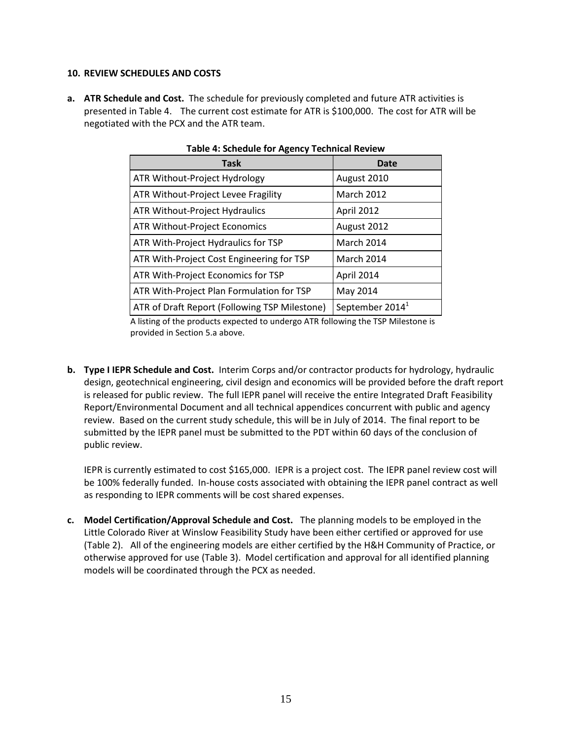#### <span id="page-16-0"></span>**10. REVIEW SCHEDULES AND COSTS**

**a. ATR Schedule and Cost.** The schedule for previously completed and future ATR activities is presented in Table 4. The current cost estimate for ATR is \$100,000. The cost for ATR will be negotiated with the PCX and the ATR team.

| <b>Task</b>                                   | Date                        |  |  |
|-----------------------------------------------|-----------------------------|--|--|
| ATR Without-Project Hydrology                 | August 2010                 |  |  |
| ATR Without-Project Levee Fragility           | <b>March 2012</b>           |  |  |
| ATR Without-Project Hydraulics                | April 2012                  |  |  |
| ATR Without-Project Economics                 | August 2012                 |  |  |
| ATR With-Project Hydraulics for TSP           | March 2014                  |  |  |
| ATR With-Project Cost Engineering for TSP     | March 2014                  |  |  |
| ATR With-Project Economics for TSP            | April 2014                  |  |  |
| ATR With-Project Plan Formulation for TSP     | May 2014                    |  |  |
| ATR of Draft Report (Following TSP Milestone) | September 2014 <sup>1</sup> |  |  |

#### **Table 4: Schedule for Agency Technical Review**

A listing of the products expected to undergo ATR following the TSP Milestone is provided in Section 5.a above.

**b. Type I IEPR Schedule and Cost.** Interim Corps and/or contractor products for hydrology, hydraulic design, geotechnical engineering, civil design and economics will be provided before the draft report is released for public review. The full IEPR panel will receive the entire Integrated Draft Feasibility Report/Environmental Document and all technical appendices concurrent with public and agency review. Based on the current study schedule, this will be in July of 2014. The final report to be submitted by the IEPR panel must be submitted to the PDT within 60 days of the conclusion of public review.

IEPR is currently estimated to cost \$165,000. IEPR is a project cost. The IEPR panel review cost will be 100% federally funded. In-house costs associated with obtaining the IEPR panel contract as well as responding to IEPR comments will be cost shared expenses.

**c. Model Certification/Approval Schedule and Cost.** The planning models to be employed in the Little Colorado River at Winslow Feasibility Study have been either certified or approved for use (Table 2). All of the engineering models are either certified by the H&H Community of Practice, or otherwise approved for use (Table 3). Model certification and approval for all identified planning models will be coordinated through the PCX as needed.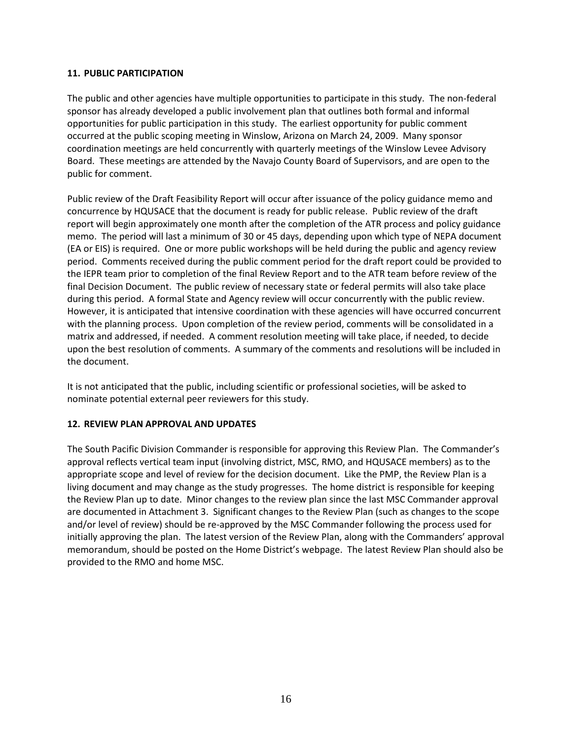#### <span id="page-17-0"></span>**11. PUBLIC PARTICIPATION**

The public and other agencies have multiple opportunities to participate in this study. The non-federal sponsor has already developed a public involvement plan that outlines both formal and informal opportunities for public participation in this study. The earliest opportunity for public comment occurred at the public scoping meeting in Winslow, Arizona on March 24, 2009. Many sponsor coordination meetings are held concurrently with quarterly meetings of the Winslow Levee Advisory Board. These meetings are attended by the Navajo County Board of Supervisors, and are open to the public for comment.

Public review of the Draft Feasibility Report will occur after issuance of the policy guidance memo and concurrence by HQUSACE that the document is ready for public release. Public review of the draft report will begin approximately one month after the completion of the ATR process and policy guidance memo. The period will last a minimum of 30 or 45 days, depending upon which type of NEPA document (EA or EIS) is required. One or more public workshops will be held during the public and agency review period. Comments received during the public comment period for the draft report could be provided to the IEPR team prior to completion of the final Review Report and to the ATR team before review of the final Decision Document. The public review of necessary state or federal permits will also take place during this period. A formal State and Agency review will occur concurrently with the public review. However, it is anticipated that intensive coordination with these agencies will have occurred concurrent with the planning process. Upon completion of the review period, comments will be consolidated in a matrix and addressed, if needed. A comment resolution meeting will take place, if needed, to decide upon the best resolution of comments. A summary of the comments and resolutions will be included in the document.

It is not anticipated that the public, including scientific or professional societies, will be asked to nominate potential external peer reviewers for this study.

#### <span id="page-17-1"></span>**12. REVIEW PLAN APPROVAL AND UPDATES**

The South Pacific Division Commander is responsible for approving this Review Plan. The Commander's approval reflects vertical team input (involving district, MSC, RMO, and HQUSACE members) as to the appropriate scope and level of review for the decision document. Like the PMP, the Review Plan is a living document and may change as the study progresses. The home district is responsible for keeping the Review Plan up to date. Minor changes to the review plan since the last MSC Commander approval are documented in Attachment 3. Significant changes to the Review Plan (such as changes to the scope and/or level of review) should be re-approved by the MSC Commander following the process used for initially approving the plan. The latest version of the Review Plan, along with the Commanders' approval memorandum, should be posted on the Home District's webpage. The latest Review Plan should also be provided to the RMO and home MSC.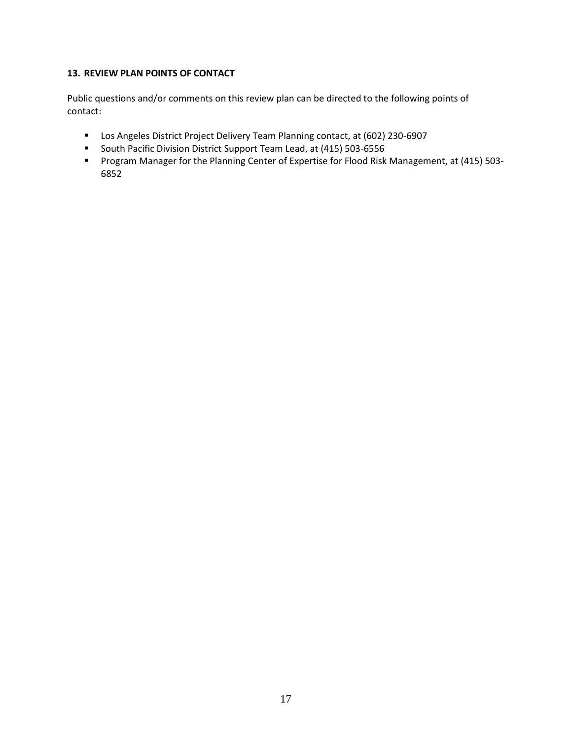## <span id="page-18-0"></span>**13. REVIEW PLAN POINTS OF CONTACT**

Public questions and/or comments on this review plan can be directed to the following points of contact:

- Los Angeles District Project Delivery Team Planning contact, at (602) 230-6907
- South Pacific Division District Support Team Lead, at (415) 503-6556
- Program Manager for the Planning Center of Expertise for Flood Risk Management, at (415) 503- 6852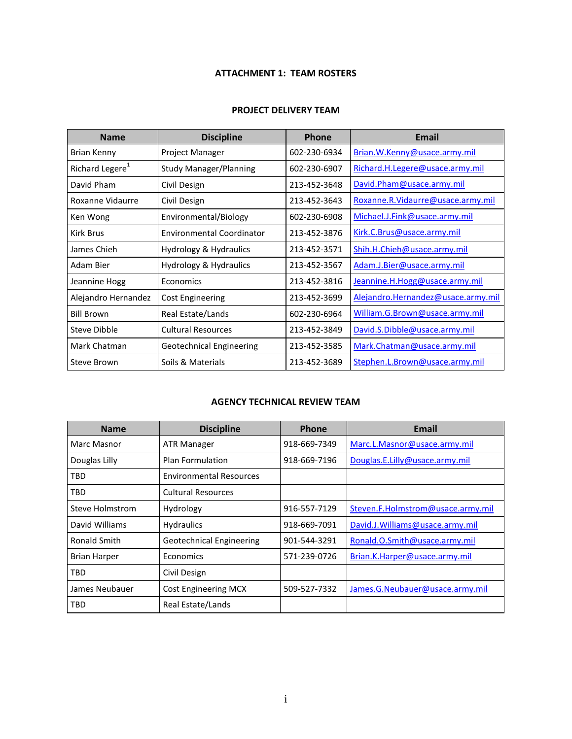## **ATTACHMENT 1: TEAM ROSTERS**

#### **PROJECT DELIVERY TEAM**

<span id="page-19-0"></span>

| <b>Name</b>                 | <b>Discipline</b>                | <b>Phone</b> | Email                              |
|-----------------------------|----------------------------------|--------------|------------------------------------|
| Brian Kenny                 | Project Manager                  | 602-230-6934 | Brian. W. Kenny@usace.army.mil     |
| Richard Legere <sup>1</sup> | <b>Study Manager/Planning</b>    | 602-230-6907 | Richard.H.Legere@usace.army.mil    |
| David Pham                  | Civil Design                     | 213-452-3648 | David.Pham@usace.army.mil          |
| Roxanne Vidaurre            | Civil Design                     | 213-452-3643 | Roxanne.R.Vidaurre@usace.army.mil  |
| Ken Wong                    | Environmental/Biology            | 602-230-6908 | Michael.J.Fink@usace.army.mil      |
| <b>Kirk Brus</b>            | <b>Environmental Coordinator</b> | 213-452-3876 | Kirk.C.Brus@usace.army.mil         |
| James Chieh                 | Hydrology & Hydraulics           | 213-452-3571 | Shih.H.Chieh@usace.army.mil        |
| Adam Bier                   | Hydrology & Hydraulics           | 213-452-3567 | Adam.J.Bier@usace.army.mil         |
| Jeannine Hogg               | Economics                        | 213-452-3816 | Jeannine.H.Hogg@usace.army.mil     |
| Alejandro Hernandez         | Cost Engineering                 | 213-452-3699 | Alejandro.Hernandez@usace.army.mil |
| <b>Bill Brown</b>           | Real Estate/Lands                | 602-230-6964 | William.G.Brown@usace.army.mil     |
| Steve Dibble                | <b>Cultural Resources</b>        | 213-452-3849 | David.S.Dibble@usace.army.mil      |
| Mark Chatman                | Geotechnical Engineering         | 213-452-3585 | Mark.Chatman@usace.army.mil        |
| Steve Brown                 | Soils & Materials                | 213-452-3689 | Stephen.L.Brown@usace.army.mil     |

## **AGENCY TECHNICAL REVIEW TEAM**

| <b>Name</b>         | <b>Discipline</b>               | Phone        | Email                             |
|---------------------|---------------------------------|--------------|-----------------------------------|
| Marc Masnor         | <b>ATR Manager</b>              | 918-669-7349 | Marc.L.Masnor@usace.army.mil      |
| Douglas Lilly       | <b>Plan Formulation</b>         | 918-669-7196 | Douglas.E.Lilly@usace.army.mil    |
| TBD                 | <b>Environmental Resources</b>  |              |                                   |
| TBD                 | <b>Cultural Resources</b>       |              |                                   |
| Steve Holmstrom     | Hydrology                       | 916-557-7129 | Steven.F.Holmstrom@usace.army.mil |
| David Williams      | <b>Hydraulics</b>               | 918-669-7091 | David.J.Williams@usace.army.mil   |
| Ronald Smith        | <b>Geotechnical Engineering</b> | 901-544-3291 | Ronald.O.Smith@usace.army.mil     |
| <b>Brian Harper</b> | Economics                       | 571-239-0726 | Brian.K.Harper@usace.army.mil     |
| TBD                 | Civil Design                    |              |                                   |
| James Neubauer      | <b>Cost Engineering MCX</b>     | 509-527-7332 | James.G.Neubauer@usace.army.mil   |
| TBD                 | Real Estate/Lands               |              |                                   |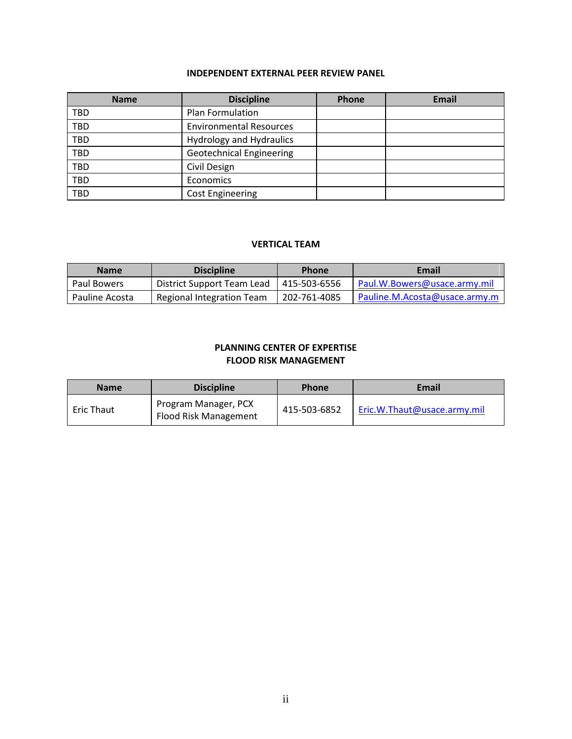## **INDEPENDENT EXTERNAL PEER REVIEW PANEL**

| <b>Name</b> | <b>Discipline</b>               | Phone | <b>Email</b> |
|-------------|---------------------------------|-------|--------------|
| TBD         | Plan Formulation                |       |              |
| <b>TBD</b>  | <b>Environmental Resources</b>  |       |              |
| TBD         | <b>Hydrology and Hydraulics</b> |       |              |
| TBD         | <b>Geotechnical Engineering</b> |       |              |
| <b>TBD</b>  | Civil Design                    |       |              |
| <b>TBD</b>  | Economics                       |       |              |
| TBD         | <b>Cost Engineering</b>         |       |              |

#### **VERTICAL TEAM**

| <b>Name</b>    | <b>Discipline</b>          | <b>Phone</b> | Email                         |
|----------------|----------------------------|--------------|-------------------------------|
| Paul Bowers    | District Support Team Lead | 415-503-6556 | Paul.W.Bowers@usace.army.mil  |
| Pauline Acosta | Regional Integration Team  | 202-761-4085 | Pauline.M.Acosta@usace.army.m |

## **PLANNING CENTER OF EXPERTISE FLOOD RISK MANAGEMENT**

| <b>Name</b>       | <b>Discipline</b>                             | <b>Phone</b> | Email                       |
|-------------------|-----------------------------------------------|--------------|-----------------------------|
| <b>Eric Thaut</b> | Program Manager, PCX<br>Flood Risk Management | 415-503-6852 | Eric.W.Thaut@usace.army.mil |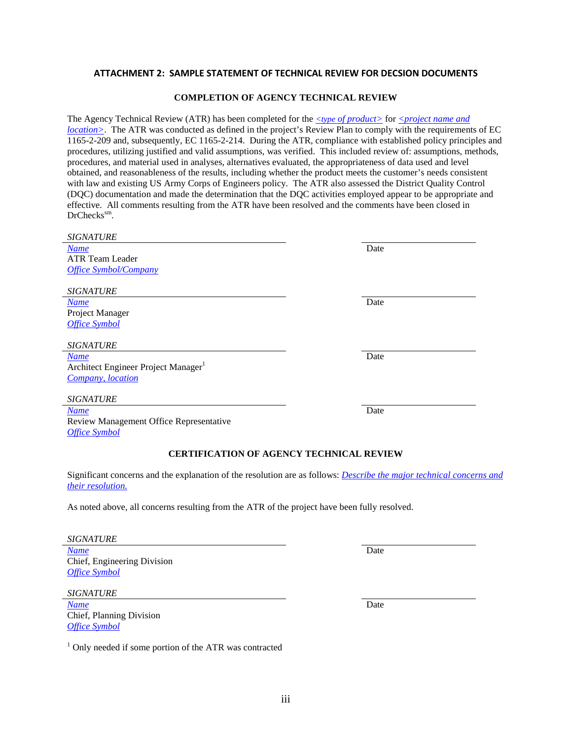## <span id="page-21-0"></span>**ATTACHMENT 2: SAMPLE STATEMENT OF TECHNICAL REVIEW FOR DECSION DOCUMENTS**

#### **COMPLETION OF AGENCY TECHNICAL REVIEW**

The Agency Technical Review (ATR) has been completed for the *<type of product>* for *<project name and location* >. The ATR was conducted as defined in the project's Review Plan to comply with the requirements of EC 1165-2-209 and, subsequently, EC 1165-2-214. During the ATR, compliance with established policy principles and procedures, utilizing justified and valid assumptions, was verified. This included review of: assumptions, methods, procedures, and material used in analyses, alternatives evaluated, the appropriateness of data used and level obtained, and reasonableness of the results, including whether the product meets the customer's needs consistent with law and existing US Army Corps of Engineers policy. The ATR also assessed the District Quality Control (DQC) documentation and made the determination that the DQC activities employed appear to be appropriate and effective. All comments resulting from the ATR have been resolved and the comments have been closed in DrChecks<sup>sm</sup>.

| <b>SIGNATURE</b>                                                                                                                                 |      |  |  |  |
|--------------------------------------------------------------------------------------------------------------------------------------------------|------|--|--|--|
| <b>Name</b>                                                                                                                                      | Date |  |  |  |
| <b>ATR Team Leader</b>                                                                                                                           |      |  |  |  |
| <b>Office Symbol/Company</b>                                                                                                                     |      |  |  |  |
|                                                                                                                                                  |      |  |  |  |
| <b>SIGNATURE</b>                                                                                                                                 |      |  |  |  |
| <b>Name</b>                                                                                                                                      | Date |  |  |  |
| Project Manager                                                                                                                                  |      |  |  |  |
| <b>Office Symbol</b>                                                                                                                             |      |  |  |  |
| <b>SIGNATURE</b>                                                                                                                                 |      |  |  |  |
| <b>Name</b>                                                                                                                                      | Date |  |  |  |
| Architect Engineer Project Manager <sup>1</sup>                                                                                                  |      |  |  |  |
| Company, location                                                                                                                                |      |  |  |  |
|                                                                                                                                                  |      |  |  |  |
| <b>SIGNATURE</b>                                                                                                                                 |      |  |  |  |
| <b>Name</b>                                                                                                                                      | Date |  |  |  |
| Review Management Office Representative                                                                                                          |      |  |  |  |
| <b>Office Symbol</b>                                                                                                                             |      |  |  |  |
| <b>CERTIFICATION OF AGENCY TECHNICAL REVIEW</b>                                                                                                  |      |  |  |  |
| Significant concerns and the explanation of the resolution are as follows: <i>Describe the major technical concerns and</i><br>their resolution. |      |  |  |  |
| As noted above, all concerns resulting from the ATR of the project have been fully resolved.                                                     |      |  |  |  |
|                                                                                                                                                  |      |  |  |  |
| <b>SIGNATURE</b>                                                                                                                                 |      |  |  |  |
| <b>Name</b>                                                                                                                                      | Date |  |  |  |
| Chief, Engineering Division                                                                                                                      |      |  |  |  |
| <b>Office Symbol</b>                                                                                                                             |      |  |  |  |
|                                                                                                                                                  |      |  |  |  |

*Name* Date Chief, Planning Division *Office Symbol*

*SIGNATURE*

 $1$  Only needed if some portion of the ATR was contracted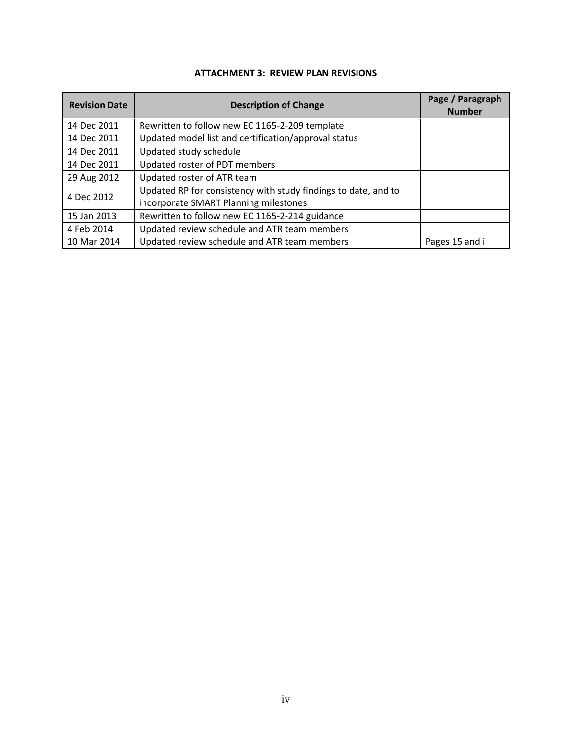<span id="page-22-0"></span>

| <b>Revision Date</b>                                                                                                  | <b>Description of Change</b>                                   | Page / Paragraph<br><b>Number</b> |
|-----------------------------------------------------------------------------------------------------------------------|----------------------------------------------------------------|-----------------------------------|
| 14 Dec 2011                                                                                                           | Rewritten to follow new EC 1165-2-209 template                 |                                   |
| 14 Dec 2011                                                                                                           | Updated model list and certification/approval status           |                                   |
| 14 Dec 2011                                                                                                           | Updated study schedule                                         |                                   |
| 14 Dec 2011                                                                                                           | Updated roster of PDT members                                  |                                   |
| 29 Aug 2012                                                                                                           | Updated roster of ATR team                                     |                                   |
| Updated RP for consistency with study findings to date, and to<br>4 Dec 2012<br>incorporate SMART Planning milestones |                                                                |                                   |
| 15 Jan 2013                                                                                                           | Rewritten to follow new EC 1165-2-214 guidance                 |                                   |
| 4 Feb 2014                                                                                                            | Updated review schedule and ATR team members                   |                                   |
| 10 Mar 2014                                                                                                           | Updated review schedule and ATR team members<br>Pages 15 and i |                                   |

## **ATTACHMENT 3: REVIEW PLAN REVISIONS**